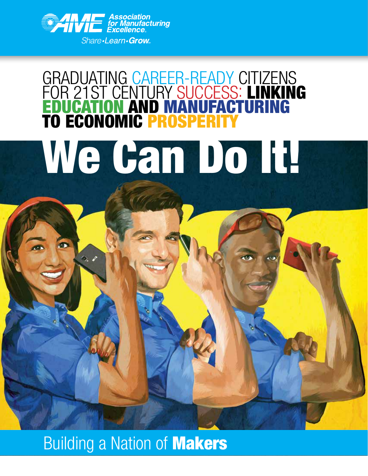

 $\Diamond$ .

## GRADUATING CAREER-READY CITIZENS FOR 21ST CENTURY SUCCESS: LINKING EDUCATION AND MANUFACTURING **TO ECONOMIC PROSPER** We Gan Do It!

### **Building a Nation of Makers**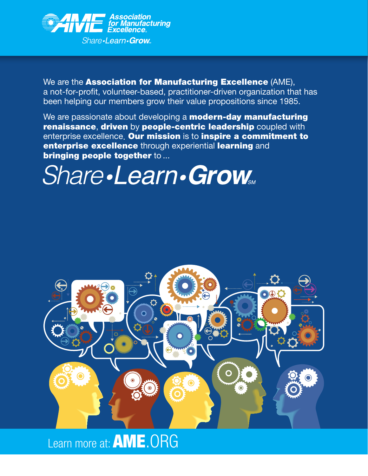

We are the **Association for Manufacturing Excellence** (AME), a not-for-profit, volunteer-based, practitioner-driven organization that has been helping our members grow their value propositions since 1985.

We are passionate about developing a **modern-day manufacturing** renaissance, driven by people-centric leadership coupled with enterprise excellence. Our mission is to inspire a commitment to enterprise excellence through experiential learning and bringing people together to ...

## **Share.Learn.Grow**



Learn more at: **AME.** ORG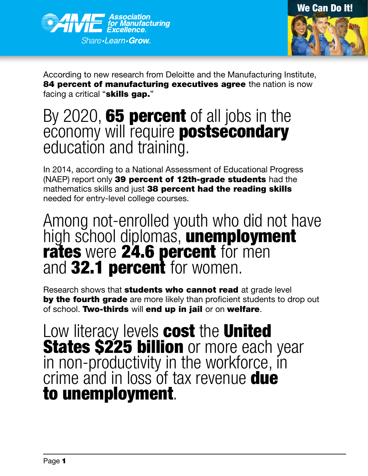



According to new research from Deloitte and the Manufacturing Institute, **84 percent of manufacturing executives agree** the nation is now facing a critical "**skills gap.**"

# By 2020, **65 percent** of all jobs in the economy will require **postsecondary**<br>education and training.

In 2014, according to a National Assessment of Educational Progress (NAEP) report only 39 percent of 12th-grade students had the mathematics skills and just 38 percent had the reading skills needed for entry-level college courses.

## Among not-enrolled youth who did not have high school diplomas, unemployment and 32.1 **percent** for women.

Research shows that **students who cannot read** at grade level by the fourth grade are more likely than proficient students to drop out of school. Two-thirds will end up in jail or on welfare.

Low literacy levels cost the United **States \$225 billion** or more each year<br>in non-productivity in the workforce, in in non-productivity in the workforce, in<br>crime and in loss of tax revenue **due** to unemployment.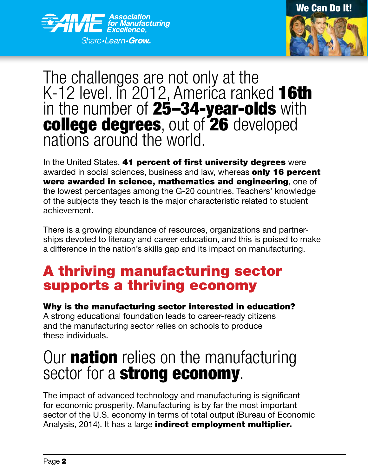



## The challenges are not only at the K-12 level. In 2012, America ranked 16th in the number of 25-34-year-olds with **college degrees**, out of **26** developed nations around the world.

In the United States, 41 percent of first university degrees were awarded in social sciences, business and law, whereas only 16 percent were awarded in science, mathematics and engineering, one of the lowest percentages among the G-20 countries. Teachers' knowledge of the subjects they teach is the major characteristic related to student achievement.

There is a growing abundance of resources, organizations and partnerships devoted to literacy and career education, and this is poised to make a difference in the nation's skills gap and its impact on manufacturing.

#### A thriving manufacturing sector supports a thriving economy

Why is the manufacturing sector interested in education? A strong educational foundation leads to career-ready citizens and the manufacturing sector relies on schools to produce these individuals.

# Our **nation** relies on the manufacturing sector for a **strong economy**.

The impact of advanced technology and manufacturing is significant for economic prosperity. Manufacturing is by far the most important sector of the U.S. economy in terms of total output (Bureau of Economic Analysis, 2014). It has a large **indirect employment multiplier.**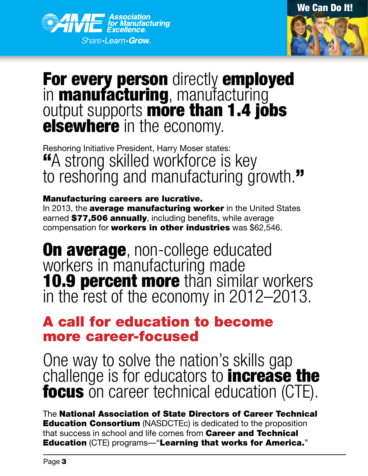



# For every person directly employed<br>in manufacturing, manufacturing output supports **more than 1.4 jobs**<br>**elsewhere** in the economy.

Reshoring Initiative President, Harry Moser states: "A strong skilled workforce is key to reshoring and manufacturing growth."

#### Manufacturing careers are lucrative.

In 2013, the **average manufacturing worker** in the United States earned \$77,506 annually, including benefits, while average compensation for **workers in other industries** was \$62,546.

**On average**, non-college educated<br>workers in manufacturing made 10.9 percent more than similar workers in the rest of the economy in 2012–2013.

#### A call for education to become more career-focused

One way to solve the nation's skills gap challenge is for educators to **increase the focus** on career technical education (CTE).

The National Association of State Directors of Career Technical **Education Consortium** (NASDCTEc) is dedicated to the proposition that success in school and life comes from **Career and Technical** Education (CTE) programs—"Learning that works for America."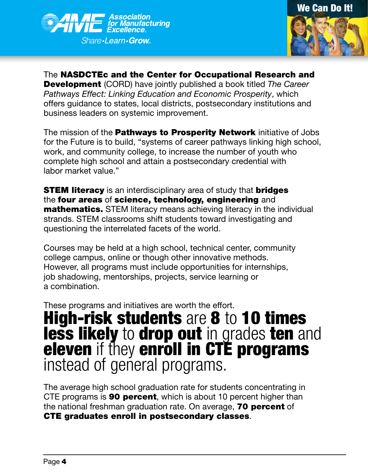



The NASDCTEc and the Center for Occupational Research and Development (CORD) have jointly published a book titled *The Career Pathways Effect: Linking Education and Economic Prosperity*, which offers guidance to states, local districts, postsecondary institutions and business leaders on systemic improvement.

The mission of the **Pathways to Prosperity Network** initiative of Jobs for the Future is to build, "systems of career pathways linking high school, work, and community college, to increase the number of youth who complete high school and attain a postsecondary credential with labor market value."

**STEM literacy** is an interdisciplinary area of study that **bridges** the four areas of science, technology, engineering and **mathematics.** STEM literacy means achieving literacy in the individual strands. STEM classrooms shift students toward investigating and questioning the interrelated facets of the world.

Courses may be held at a high school, technical center, community college campus, online or though other innovative methods. However, all programs must include opportunities for internships, job shadowing, mentorships, projects, service learning or a combination.

These programs and initiatives are worth the effort.

## **High-risk students** are 8 to 10 times less likely to drop out in grades ten and eleven if they enroll in CTÉ programs<br>instead of general programs.

The average high school graduation rate for students concentrating in CTE programs is **90 percent**, which is about 10 percent higher than the national freshman graduation rate. On average, **70 percent** of CTE graduates enroll in postsecondary classes.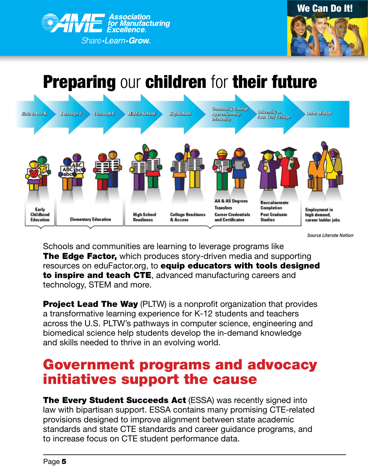



#### **Preparing our children for their future Community College** University or Birth to Pro-K K through 3 4 through 5 Middle School HighSehool **Apprantiseship Labor Market** Four Year College utamahip **AA & AS Degrees Baccalaureate Transfers** Completion Early **Employment** in Childhood **High School College Readiness Career Credentials Post Graduate** high demand. **Elementary Education** and Certificates **Education Readiness** & Access **Studies** career ladder jobs

**Source Literate Nation** 

Schools and communities are learning to leverage programs like **The Edge Factor,** which produces story-driven media and supporting resources on eduFactor.org, to **equip educators with tools designed** to inspire and teach CTE, advanced manufacturing careers and technology, STEM and more.

**Project Lead The Way** (PLTW) is a nonprofit organization that provides a transformative learning experience for K-12 students and teachers across the U.S. PLTW's pathways in computer science, engineering and biomedical science help students develop the in-demand knowledge and skills needed to thrive in an evolving world.

#### Government programs and advocacy initiatives support the cause

**The Every Student Succeeds Act** (ESSA) was recently signed into law with bipartisan support. ESSA contains many promising CTE-related provisions designed to improve alignment between state academic standards and state CTE standards and career guidance programs, and to increase focus on CTE student performance data.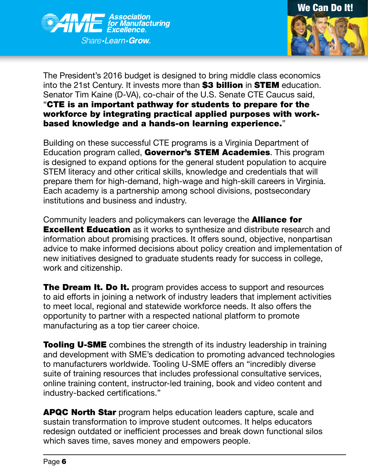



The President's 2016 budget is designed to bring middle class economics into the 21st Century. It invests more than \$3 billion in STEM education. Senator Tim Kaine (D-VA), co-chair of the U.S. Senate CTE Caucus said, "CTE is an important pathway for students to prepare for the workforce by integrating practical applied purposes with workbased knowledge and a hands-on learning experience."

Building on these successful CTE programs is a Virginia Department of Education program called, Governor's STEM Academies. This program is designed to expand options for the general student population to acquire STEM literacy and other critical skills, knowledge and credentials that will prepare them for high-demand, high-wage and high-skill careers in Virginia. Each academy is a partnership among school divisions, postsecondary institutions and business and industry.

Community leaders and policymakers can leverage the **Alliance for Excellent Education** as it works to synthesize and distribute research and information about promising practices. It offers sound, objective, nonpartisan advice to make informed decisions about policy creation and implementation of new initiatives designed to graduate students ready for success in college, work and citizenship.

**The Dream It. Do It.** program provides access to support and resources to aid efforts in joining a network of industry leaders that implement activities to meet local, regional and statewide workforce needs. It also offers the opportunity to partner with a respected national platform to promote manufacturing as a top tier career choice.

**Tooling U-SME** combines the strength of its industry leadership in training and development with SME's dedication to promoting advanced technologies to manufacturers worldwide. Tooling U-SME offers an "incredibly diverse suite of training resources that includes professional consultative services, online training content, instructor-led training, book and video content and industry-backed certifications."

APQC North Star program helps education leaders capture, scale and sustain transformation to improve student outcomes. It helps educators redesign outdated or inefficient processes and break down functional silos which saves time, saves money and empowers people.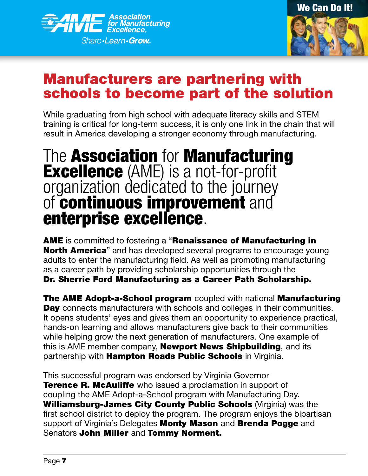



#### Manufacturers are partnering with schools to become part of the solution

While graduating from high school with adequate literacy skills and STEM training is critical for long-term success, it is only one link in the chain that will result in America developing a stronger economy through manufacturing.

# The **Association** for **Manufacturing**<br>**Excellence** (AME) is a not-for-profit<br>organization dedicated to the journey of continuous improvement and enterprise excellence.

AME is committed to fostering a "Renaissance of Manufacturing in **North America**" and has developed several programs to encourage young adults to enter the manufacturing field. As well as promoting manufacturing as a career path by providing scholarship opportunities through the Dr. Sherrie Ford Manufacturing as a Career Path Scholarship.

The AME Adopt-a-School program coupled with national Manufacturing Day connects manufacturers with schools and colleges in their communities. It opens students' eyes and gives them an opportunity to experience practical, hands-on learning and allows manufacturers give back to their communities while helping grow the next generation of manufacturers. One example of this is AME member company, **Newport News Shipbuilding**, and its partnership with **Hampton Roads Public Schools** in Virginia.

This successful program was endorsed by Virginia Governor **Terence R. McAuliffe** who issued a proclamation in support of coupling the AME Adopt-a-School program with Manufacturing Day. Williamsburg-James City County Public Schools (Virginia) was the first school district to deploy the program. The program enjoys the bipartisan support of Virginia's Delegates Monty Mason and Brenda Pogge and Senators John Miller and Tommy Norment.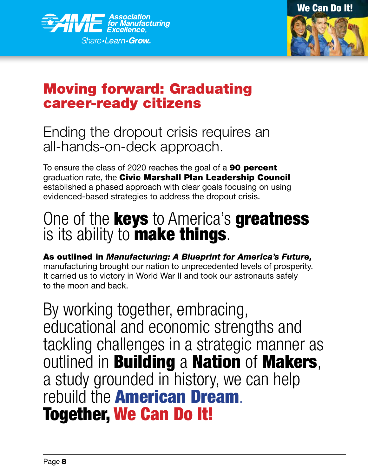



#### Moving forward: Graduating career-ready citizens

#### Ending the dropout crisis requires an all-hands-on-deck approach.

To ensure the class of 2020 reaches the goal of a **90 percent** graduation rate, the Civic Marshall Plan Leadership Council established a phased approach with clear goals focusing on using evidenced-based strategies to address the dropout crisis.

# One of the **keys** to America's **greatness** is its ability to **make things**.

As outlined in *Manufacturing: A Blueprint for America's Future,* manufacturing brought our nation to unprecedented levels of prosperity. It carried us to victory in World War II and took our astronauts safely to the moon and back.

By working together, embracing, educational and economic strengths and tackling challenges in a strategic manner as outlined in **Building a Nation of Makers,** a study grounded in history, we can help rebuild the **American Dream**.<br>Together, We Can Do It!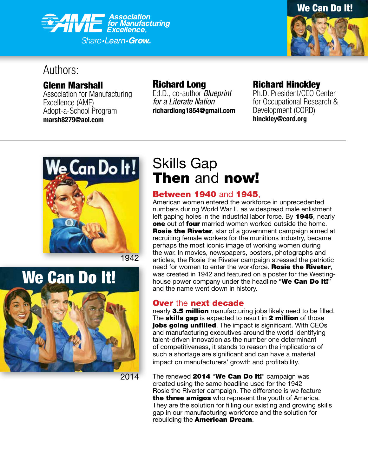



#### Authors:

Glenn Marshall

Association for Manufacturing Excellence (AME) Adopt-a-School Program **marsh8279@aol.com**

#### Richard Long

Ed.D., co-author *Blueprint for a Literate Nation* **richardlong1854@gmail.com**

#### Richard Hinckley

Ph.D. President/CEO Center for Occupational Research & Development (CORD) **hinckley@cord.org**



1942

2014

# We Can Do It!

Skills Gap Then and now!

**Between 1940** and **1945**,<br>American women entered the workforce in unprecedented numbers during World War II, as widespread male enlistment left gaping holes in the industrial labor force. By 1945, nearly one out of four married women worked outside the home. **Rosie the Riveter, star of a government campaign aimed at** recruiting female workers for the munitions industry, became perhaps the most iconic image of working women during the war. In movies, newspapers, posters, photographs and articles, the Rosie the Riveter campaign stressed the patriotic need for women to enter the workforce. Rosie the Riveter, was created in 1942 and featured on a poster for the Westinghouse power company under the headline "We Can Do It!" and the name went down in history.

#### Over the next decade

nearly 3.5 million manufacturing jobs likely need to be filled. The **skills gap** is expected to result in 2 million of those jobs going unfilled. The impact is significant. With CEOs and manufacturing executives around the world identifying talent-driven innovation as the number one determinant of competitiveness, it stands to reason the implications of such a shortage are significant and can have a material impact on manufacturers' growth and profitability.

The renewed 2014 "We Can Do It!" campaign was created using the same headline used for the 1942 Rosie the Riverter campaign. The difference is we feature the three amigos who represent the youth of America. They are the solution for filling our existing and growing skills gap in our manufacturing workforce and the solution for rebuilding the American Dream.